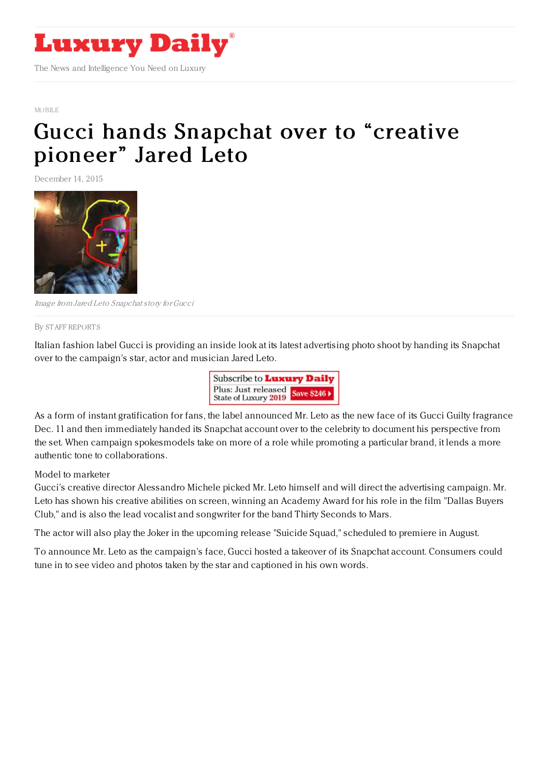

MORILE

## Gucci hands [Snapchat](https://www.luxurydaily.com/gucci-hands-snapchat-over-to-creative-pioneer-jared-leto/) over to "creative pioneer" Jared Leto

December 14, 2015



Image from Jared Leto Snapchat story forGucci

By STAFF [REPORT](file:///author/staff-reports) S

Italian fashion label Gucci is providing an inside look at its latest advertising photo shoot by handing its Snapchat over to the campaign's star, actor and musician Jared Leto.



As a form of instant gratification for fans, the label announced Mr. Leto as the new face of its Gucci Guilty fragrance Dec. 11 and then immediately handed its Snapchat account over to the celebrity to document his perspective from the set. When campaign spokesmodels take on more of a role while promoting a particular brand, it lends a more authentic tone to collaborations.

Model to marketer

Gucci's creative director Alessandro Michele picked Mr. Leto himself and will direct the advertising campaign. Mr. Leto has shown his creative abilities on screen, winning an Academy Award for his role in the film "Dallas Buyers Club," and is also the lead vocalist and songwriter for the band Thirty Seconds to Mars.

The actor will also play the Joker in the upcoming release "Suicide Squad," scheduled to premiere in August.

To announce Mr. Leto as the campaign's face, Gucci hosted a takeover of its Snapchat account. Consumers could tune in to see video and photos taken by the star and captioned in his own words.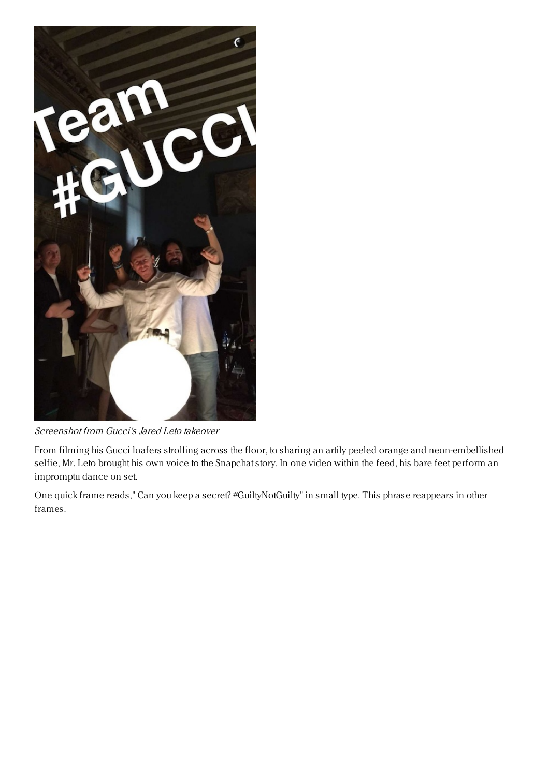

Screenshot from Gucci's Jared Leto takeover

From filming his Gucci loafers strolling across the floor, to sharing an artily peeled orange and neon-embellished selfie, Mr. Leto brought his own voice to the Snapchat story. In one video within the feed, his bare feet perform an impromptu dance on set.

One quick frame reads," Can you keep a secret? #GuiltyNotGuilty" in small type. This phrase reappears in other frames.